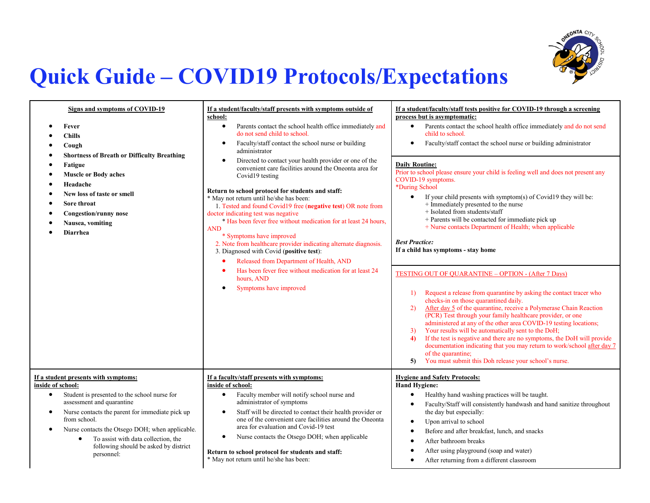

## **Quick Guide – COVID19 Protocols/Expectations**

| Signs and symptoms of COVID-19<br>Fever<br><b>Chills</b><br>Cough<br><b>Shortness of Breath or Difficulty Breathing</b><br><b>Fatigue</b><br><b>Muscle or Body aches</b><br>Headache<br>New loss of taste or smell<br>Sore throat<br><b>Congestion/runny nose</b><br>Nausea, vomiting<br><b>Diarrhea</b>                                                                                       | If a student/faculty/staff presents with symptoms outside of<br>school:<br>$\bullet$<br>Parents contact the school health office immediately and<br>do not send child to school.<br>Faculty/staff contact the school nurse or building<br>$\bullet$<br>administrator<br>Directed to contact your health provider or one of the<br>convenient care facilities around the Oneonta area for<br>Covid19 testing<br>Return to school protocol for students and staff:<br>* May not return until he/she has been:<br>1. Tested and found Covid19 free (negative test) OR note from<br>doctor indicating test was negative<br>* Has been fever free without medication for at least 24 hours,<br><b>AND</b><br>* Symptoms have improved<br>2. Note from healthcare provider indicating alternate diagnosis.<br>3. Diagnosed with Covid (positive test):<br>Released from Department of Health, AND<br>Has been fever free without medication for at least 24<br>hours, AND<br>Symptoms have improved | If a student/faculty/staff tests positive for COVID-19 through a screening<br>process but is asymptomatic:<br>Parents contact the school health office immediately and do not send<br>$\bullet$<br>child to school.<br>Faculty/staff contact the school nurse or building administrator<br><b>Daily Routine:</b><br>Prior to school please ensure your child is feeling well and does not present any<br>COVID-19 symptoms.<br>*During School<br>If your child presents with symptom(s) of Covid19 they will be:<br>$\bullet$<br>+ Immediately presented to the nurse<br>+ Isolated from students/staff<br>+ Parents will be contacted for immediate pick up<br>+ Nurse contacts Department of Health; when applicable<br><b>Best Practice:</b><br>If a child has symptoms - stay home<br><b>TESTING OUT OF QUARANTINE - OPTION - (After 7 Days)</b><br>Request a release from quarantine by asking the contact tracer who<br>1)<br>checks-in on those quarantined daily.<br>After day 5 of the quarantine, receive a Polymerase Chain Reaction<br>2)<br>(PCR) Test through your family healthcare provider, or one<br>administered at any of the other area COVID-19 testing locations;<br>Your results will be automatically sent to the DoH;<br>3)<br>If the test is negative and there are no symptoms, the DoH will provide<br>4)<br>documentation indicating that you may return to work/school after day 7<br>of the quarantine;<br>You must submit this Doh release your school's nurse.<br>5) |
|------------------------------------------------------------------------------------------------------------------------------------------------------------------------------------------------------------------------------------------------------------------------------------------------------------------------------------------------------------------------------------------------|-----------------------------------------------------------------------------------------------------------------------------------------------------------------------------------------------------------------------------------------------------------------------------------------------------------------------------------------------------------------------------------------------------------------------------------------------------------------------------------------------------------------------------------------------------------------------------------------------------------------------------------------------------------------------------------------------------------------------------------------------------------------------------------------------------------------------------------------------------------------------------------------------------------------------------------------------------------------------------------------------|--------------------------------------------------------------------------------------------------------------------------------------------------------------------------------------------------------------------------------------------------------------------------------------------------------------------------------------------------------------------------------------------------------------------------------------------------------------------------------------------------------------------------------------------------------------------------------------------------------------------------------------------------------------------------------------------------------------------------------------------------------------------------------------------------------------------------------------------------------------------------------------------------------------------------------------------------------------------------------------------------------------------------------------------------------------------------------------------------------------------------------------------------------------------------------------------------------------------------------------------------------------------------------------------------------------------------------------------------------------------------------------------------------------------------------------------------------------------------------------------------------|
| If a student presents with symptoms:<br>inside of school:<br>Student is presented to the school nurse for<br>$\bullet$<br>assessment and quarantine<br>Nurse contacts the parent for immediate pick up<br>٠<br>from school.<br>Nurse contacts the Otsego DOH; when applicable.<br>٠<br>To assist with data collection, the<br>$\bullet$<br>following should be asked by district<br>personnel: | If a faculty/staff presents with symptoms:<br>inside of school:<br>Faculty member will notify school nurse and<br>$\bullet$<br>administrator of symptoms<br>Staff will be directed to contact their health provider or<br>$\bullet$<br>one of the convenient care facilities around the Oneonta<br>area for evaluation and Covid-19 test<br>Nurse contacts the Otsego DOH; when applicable<br>Return to school protocol for students and staff:<br>* May not return until he/she has been:                                                                                                                                                                                                                                                                                                                                                                                                                                                                                                    | <b>Hygiene and Safety Protocols:</b><br><b>Hand Hygiene:</b><br>Healthy hand washing practices will be taught.<br>$\bullet$<br>Faculty/Staff will consistently handwash and hand sanitize throughout<br>$\bullet$<br>the day but especially:<br>Upon arrival to school<br>$\bullet$<br>Before and after breakfast, lunch, and snacks<br>After bathroom breaks<br>After using playground (soap and water)<br>After returning from a different classroom                                                                                                                                                                                                                                                                                                                                                                                                                                                                                                                                                                                                                                                                                                                                                                                                                                                                                                                                                                                                                                                 |